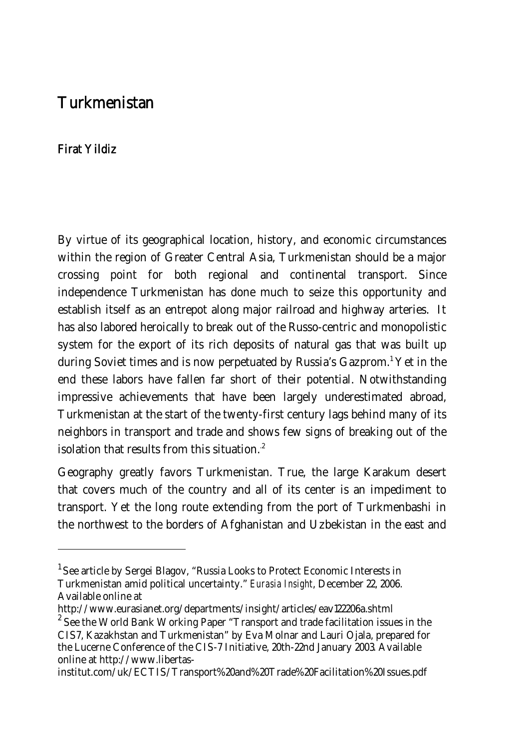# Turkmenistan

#### Firat Yildiz

 $\overline{a}$ 

By virtue of its geographical location, history, and economic circumstances within the region of Greater Central Asia, Turkmenistan should be a major crossing point for both regional and continental transport. Since independence Turkmenistan has done much to seize this opportunity and establish itself as an entrepot along major railroad and highway arteries. It has also labored heroically to break out of the Russo-centric and monopolistic system for the export of its rich deposits of natural gas that was built up during Soviet times and is now perpetuated by Russia's Gazprom.<sup>1</sup> Yet in the end these labors have fallen far short of their potential. Notwithstanding impressive achievements that have been largely underestimated abroad, Turkmenistan at the start of the twenty-first century lags behind many of its neighbors in transport and trade and shows few signs of breaking out of the isolation that results from this situation. $2$ 

Geography greatly favors Turkmenistan. True, the large Karakum desert that covers much of the country and all of its center is an impediment to transport. Yet the long route extending from the port of Turkmenbashi in the northwest to the borders of Afghanistan and Uzbekistan in the east and

 $^1$  See article by Sergei Blagov, "Russia Looks to Protect Economic Interests in Turkmenistan amid political uncertainty." *Eurasia Insight*, December 22, 2006. Available online at

http://www.eurasianet.org/departments/insight/articles/eav122206a.shtml 2

 $2^2$  See the World Bank Working Paper "Transport and trade facilitation issues in the CIS7, Kazakhstan and Turkmenistan" by Eva Molnar and Lauri Ojala, prepared for the Lucerne Conference of the CIS-7 Initiative, 20th-22nd January 2003. Available online at http://www.libertas-

institut.com/uk/ECTIS/Transport%20and%20Trade%20Facilitation%20Issues.pdf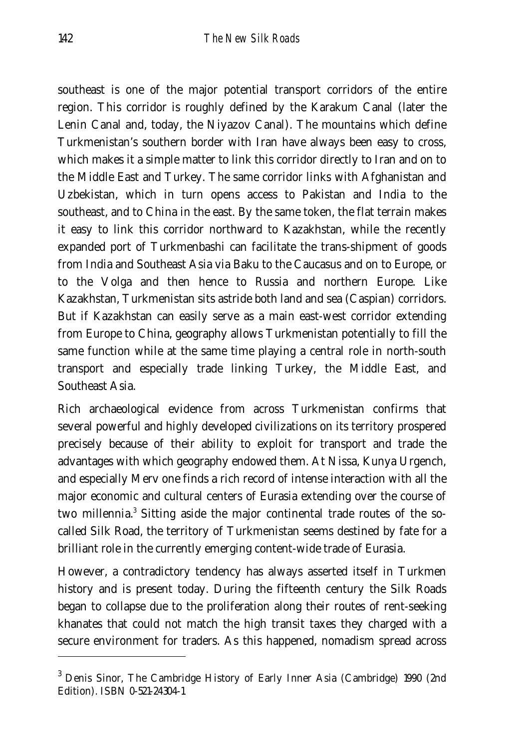southeast is one of the major potential transport corridors of the entire region. This corridor is roughly defined by the Karakum Canal (later the Lenin Canal and, today, the Niyazov Canal). The mountains which define Turkmenistan's southern border with Iran have always been easy to cross, which makes it a simple matter to link this corridor directly to Iran and on to the Middle East and Turkey. The same corridor links with Afghanistan and Uzbekistan, which in turn opens access to Pakistan and India to the southeast, and to China in the east. By the same token, the flat terrain makes it easy to link this corridor northward to Kazakhstan, while the recently expanded port of Turkmenbashi can facilitate the trans-shipment of goods from India and Southeast Asia via Baku to the Caucasus and on to Europe, or to the Volga and then hence to Russia and northern Europe. Like Kazakhstan, Turkmenistan sits astride both land and sea (Caspian) corridors. But if Kazakhstan can easily serve as a main east-west corridor extending from Europe to China, geography allows Turkmenistan potentially to fill the same function while at the same time playing a central role in north-south transport and especially trade linking Turkey, the Middle East, and Southeast Asia.

Rich archaeological evidence from across Turkmenistan confirms that several powerful and highly developed civilizations on its territory prospered precisely because of their ability to exploit for transport and trade the advantages with which geography endowed them. At Nissa, Kunya Urgench, and especially Merv one finds a rich record of intense interaction with all the major economic and cultural centers of Eurasia extending over the course of two millennia.<sup>3</sup> Sitting aside the major continental trade routes of the socalled Silk Road, the territory of Turkmenistan seems destined by fate for a brilliant role in the currently emerging content-wide trade of Eurasia.

However, a contradictory tendency has always asserted itself in Turkmen history and is present today. During the fifteenth century the Silk Roads began to collapse due to the proliferation along their routes of rent-seeking khanates that could not match the high transit taxes they charged with a secure environment for traders. As this happened, nomadism spread across

<sup>&</sup>lt;sup>3</sup> Denis Sinor, The Cambridge History of Early Inner Asia (Cambridge) 1990 (2nd Edition). ISBN 0-521-24304-1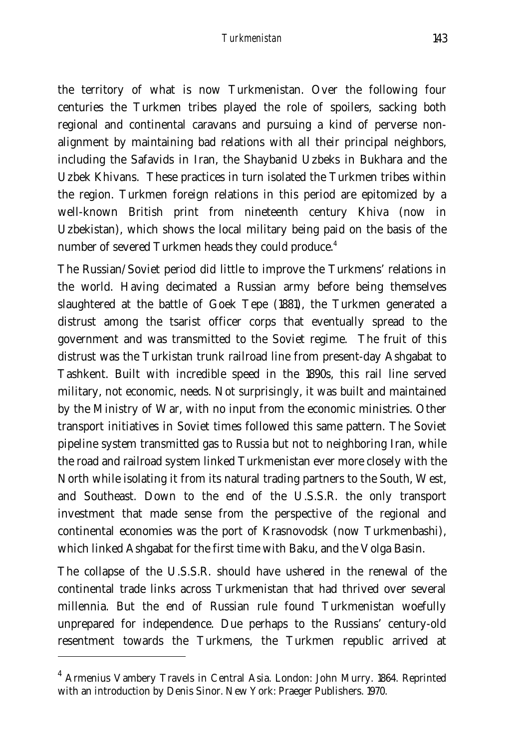the territory of what is now Turkmenistan. Over the following four centuries the Turkmen tribes played the role of spoilers, sacking both regional and continental caravans and pursuing a kind of perverse nonalignment by maintaining bad relations with all their principal neighbors, including the Safavids in Iran, the Shaybanid Uzbeks in Bukhara and the Uzbek Khivans. These practices in turn isolated the Turkmen tribes within the region. Turkmen foreign relations in this period are epitomized by a well-known British print from nineteenth century Khiva (now in Uzbekistan), which shows the local military being paid on the basis of the number of severed Turkmen heads they could produce. $^4$ 

The Russian/Soviet period did little to improve the Turkmens' relations in the world. Having decimated a Russian army before being themselves slaughtered at the battle of Goek Tepe (1881), the Turkmen generated a distrust among the tsarist officer corps that eventually spread to the government and was transmitted to the Soviet regime. The fruit of this distrust was the Turkistan trunk railroad line from present-day Ashgabat to Tashkent. Built with incredible speed in the 1890s, this rail line served military, not economic, needs. Not surprisingly, it was built and maintained by the Ministry of War, with no input from the economic ministries. Other transport initiatives in Soviet times followed this same pattern. The Soviet pipeline system transmitted gas to Russia but not to neighboring Iran, while the road and railroad system linked Turkmenistan ever more closely with the North while isolating it from its natural trading partners to the South, West, and Southeast. Down to the end of the U.S.S.R. the only transport investment that made sense from the perspective of the regional and continental economies was the port of Krasnovodsk (now Turkmenbashi), which linked Ashgabat for the first time with Baku, and the Volga Basin.

The collapse of the U.S.S.R. should have ushered in the renewal of the continental trade links across Turkmenistan that had thrived over several millennia. But the end of Russian rule found Turkmenistan woefully unprepared for independence. Due perhaps to the Russians' century-old resentment towards the Turkmens, the Turkmen republic arrived at

<sup>&</sup>lt;sup>4</sup> Armenius Vambery Travels in Central Asia. London: John Murry. 1864. Reprinted with an introduction by Denis Sinor. New York: Praeger Publishers. 1970.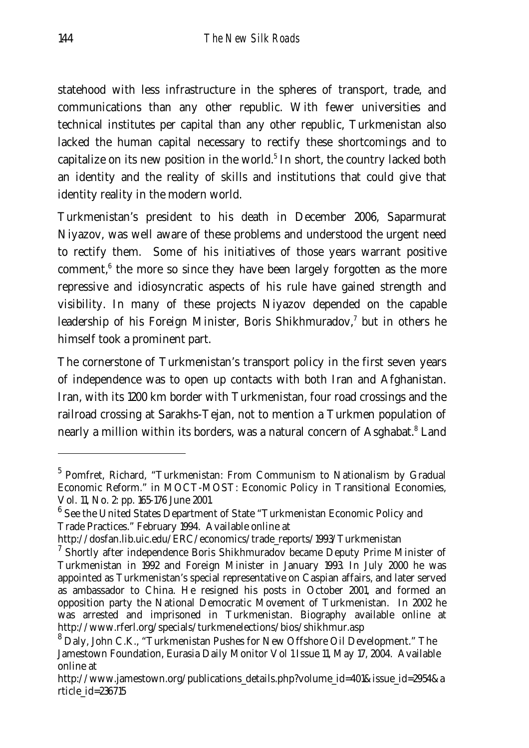statehood with less infrastructure in the spheres of transport, trade, and communications than any other republic. With fewer universities and technical institutes per capital than any other republic, Turkmenistan also lacked the human capital necessary to rectify these shortcomings and to capitalize on its new position in the world. $5$  In short, the country lacked both an identity and the reality of skills and institutions that could give that identity reality in the modern world.

Turkmenistan's president to his death in December 2006, Saparmurat Niyazov, was well aware of these problems and understood the urgent need to rectify them. Some of his initiatives of those years warrant positive comment, $^6$  the more so since they have been largely forgotten as the more repressive and idiosyncratic aspects of his rule have gained strength and visibility. In many of these projects Niyazov depended on the capable leadership of his Foreign Minister, Boris Shikhmuradov,<sup>7</sup> but in others he himself took a prominent part.

The cornerstone of Turkmenistan's transport policy in the first seven years of independence was to open up contacts with both Iran and Afghanistan. Iran, with its 1200 km border with Turkmenistan, four road crossings and the railroad crossing at Sarakhs-Tejan, not to mention a Turkmen population of nearly a million within its borders, was a natural concern of Asghabat.<sup>8</sup> Land

<sup>&</sup>lt;sup>5</sup> Pomfret, Richard, "Turkmenistan: From Communism to Nationalism by Gradual Economic Reform." in MOCT-MOST: Economic Policy in Transitional Economies, Vol. 11, No. 2: pp. 165-176 June 2001.

<sup>&</sup>lt;sup>6</sup> See the United States Department of State "Turkmenistan Economic Policy and Trade Practices." February 1994. Available online at

http://dosfan.lib.uic.edu/ERC/economics/trade\_reports/1993/Turkmenistan 7

<sup>&</sup>lt;sup>7</sup> Shortly after independence Boris Shikhmuradov became Deputy Prime Minister of Turkmenistan in 1992 and Foreign Minister in January 1993. In July 2000 he was appointed as Turkmenistan's special representative on Caspian affairs, and later served as ambassador to China. He resigned his posts in October 2001, and formed an opposition party the National Democratic Movement of Turkmenistan. In 2002 he was arrested and imprisoned in Turkmenistan. Biography available online at http://www.rferl.org/specials/turkmenelections/bios/shikhmur.asp

<sup>&</sup>lt;sup>8</sup> Daly, John C.K., "Turkmenistan Pushes for New Offshore Oil Development." The Jamestown Foundation, Eurasia Daily Monitor Vol 1 Issue 11, May 17, 2004. Available online at

http://www.jamestown.org/publications\_details.php?volume\_id=401&issue\_id=2954&a rticle\_id=236715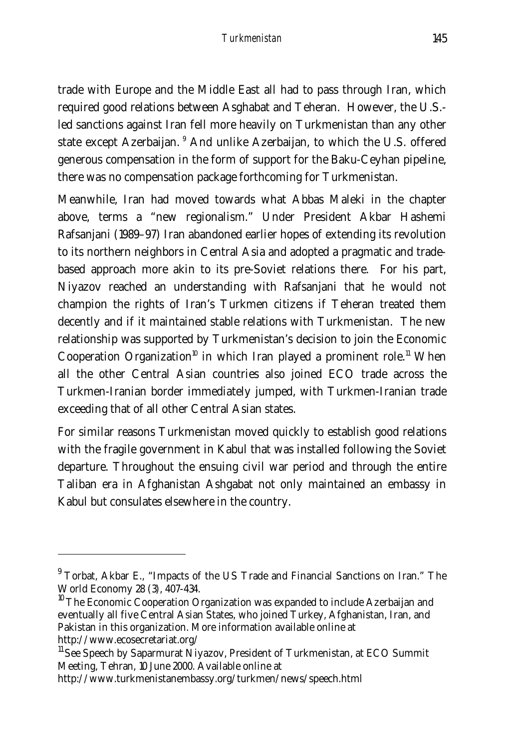trade with Europe and the Middle East all had to pass through Iran, which required good relations between Asghabat and Teheran. However, the U.S. led sanctions against Iran fell more heavily on Turkmenistan than any other state except Azerbaijan. <sup>9</sup> And unlike Azerbaijan, to which the U.S. offered generous compensation in the form of support for the Baku-Ceyhan pipeline, there was no compensation package forthcoming for Turkmenistan.

Meanwhile, Iran had moved towards what Abbas Maleki in the chapter above, terms a "new regionalism." Under President Akbar Hashemi Rafsanjani (1989–97) Iran abandoned earlier hopes of extending its revolution to its northern neighbors in Central Asia and adopted a pragmatic and tradebased approach more akin to its pre-Soviet relations there. For his part, Niyazov reached an understanding with Rafsanjani that he would not champion the rights of Iran's Turkmen citizens if Teheran treated them decently and if it maintained stable relations with Turkmenistan. The new relationship was supported by Turkmenistan's decision to join the Economic Cooperation Organization<sup>10</sup> in which Iran played a prominent role.<sup>11</sup> When all the other Central Asian countries also joined ECO trade across the Turkmen-Iranian border immediately jumped, with Turkmen-Iranian trade exceeding that of all other Central Asian states.

For similar reasons Turkmenistan moved quickly to establish good relations with the fragile government in Kabul that was installed following the Soviet departure. Throughout the ensuing civil war period and through the entire Taliban era in Afghanistan Ashgabat not only maintained an embassy in Kabul but consulates elsewhere in the country.

 $9$  Torbat, Akbar E., "Impacts of the US Trade and Financial Sanctions on Iran." The World Economy 28 (3), 407-434.

 $10$  The Economic Cooperation Organization was expanded to include Azerbaijan and eventually all five Central Asian States, who joined Turkey, Afghanistan, Iran, and Pakistan in this organization. More information available online at http://www.ecosecretariat.org/

<sup>&</sup>lt;sup>11</sup> See Speech by Saparmurat Niyazov, President of Turkmenistan, at ECO Summit Meeting, Tehran, 10 June 2000. Available online at

http://www.turkmenistanembassy.org/turkmen/news/speech.html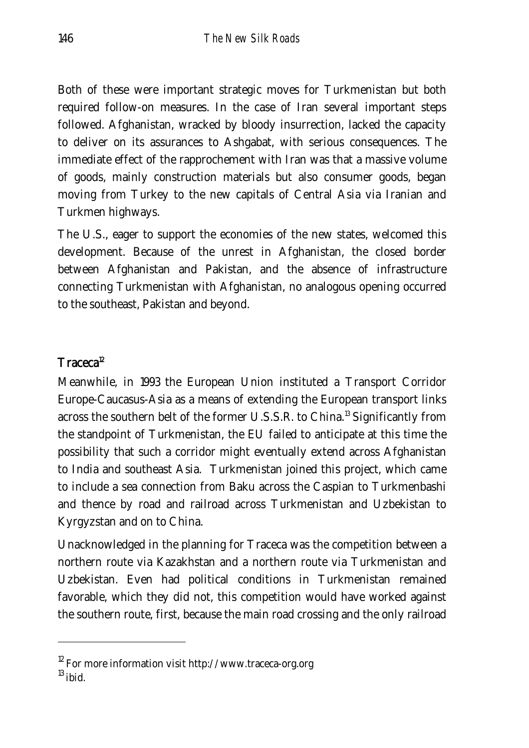Both of these were important strategic moves for Turkmenistan but both required follow-on measures. In the case of Iran several important steps followed. Afghanistan, wracked by bloody insurrection, lacked the capacity to deliver on its assurances to Ashgabat, with serious consequences. The immediate effect of the rapprochement with Iran was that a massive volume of goods, mainly construction materials but also consumer goods, began moving from Turkey to the new capitals of Central Asia via Iranian and Turkmen highways.

The U.S., eager to support the economies of the new states, welcomed this development. Because of the unrest in Afghanistan, the closed border between Afghanistan and Pakistan, and the absence of infrastructure connecting Turkmenistan with Afghanistan, no analogous opening occurred to the southeast, Pakistan and beyond.

### Traceca<sup>12</sup>

 $\overline{a}$ 

Meanwhile, in 1993 the European Union instituted a Transport Corridor Europe-Caucasus-Asia as a means of extending the European transport links across the southern belt of the former U.S.S.R. to China.<sup>13</sup> Significantly from the standpoint of Turkmenistan, the EU failed to anticipate at this time the possibility that such a corridor might eventually extend across Afghanistan to India and southeast Asia. Turkmenistan joined this project, which came to include a sea connection from Baku across the Caspian to Turkmenbashi and thence by road and railroad across Turkmenistan and Uzbekistan to Kyrgyzstan and on to China.

Unacknowledged in the planning for Traceca was the competition between a northern route via Kazakhstan and a northern route via Turkmenistan and Uzbekistan. Even had political conditions in Turkmenistan remained favorable, which they did not, this competition would have worked against the southern route, first, because the main road crossing and the only railroad

<sup>12</sup> For more information visit http://www.traceca-org.org  $13$  ibid.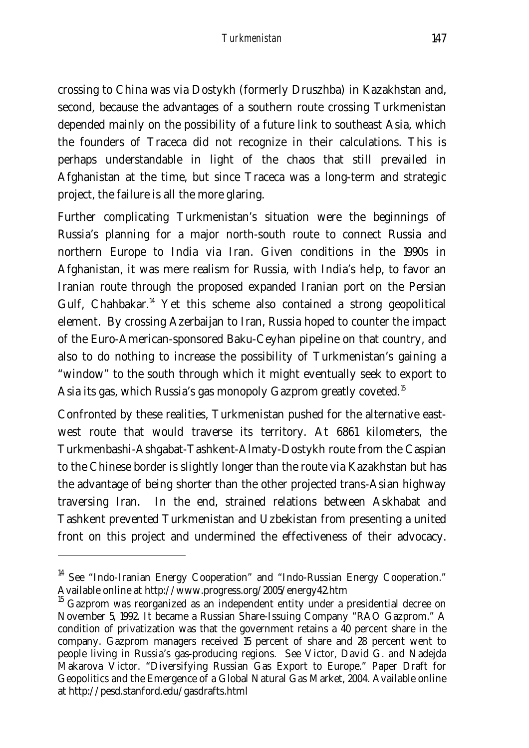crossing to China was via Dostykh (formerly Druszhba) in Kazakhstan and, second, because the advantages of a southern route crossing Turkmenistan depended mainly on the possibility of a future link to southeast Asia, which the founders of Traceca did not recognize in their calculations. This is perhaps understandable in light of the chaos that still prevailed in Afghanistan at the time, but since Traceca was a long-term and strategic project, the failure is all the more glaring.

Further complicating Turkmenistan's situation were the beginnings of Russia's planning for a major north-south route to connect Russia and northern Europe to India via Iran. Given conditions in the 1990s in Afghanistan, it was mere realism for Russia, with India's help, to favor an Iranian route through the proposed expanded Iranian port on the Persian Gulf, Chahbakar.<sup>14</sup> Yet this scheme also contained a strong geopolitical element. By crossing Azerbaijan to Iran, Russia hoped to counter the impact of the Euro-American-sponsored Baku-Ceyhan pipeline on that country, and also to do nothing to increase the possibility of Turkmenistan's gaining a "window" to the south through which it might eventually seek to export to Asia its gas, which Russia's gas monopoly Gazprom greatly coveted.<sup>15</sup>

Confronted by these realities, Turkmenistan pushed for the alternative eastwest route that would traverse its territory. At 6861 kilometers, the Turkmenbashi-Ashgabat-Tashkent-Almaty-Dostykh route from the Caspian to the Chinese border is slightly longer than the route via Kazakhstan but has the advantage of being shorter than the other projected trans-Asian highway traversing Iran. In the end, strained relations between Askhabat and Tashkent prevented Turkmenistan and Uzbekistan from presenting a united front on this project and undermined the effectiveness of their advocacy.

<sup>&</sup>lt;sup>14</sup> See "Indo-Iranian Energy Cooperation" and "Indo-Russian Energy Cooperation."<br>Available online at http://www.progress.org/2005/energy42.htm

 $^{15}$  Gazprom was reorganized as an independent entity under a presidential decree on November 5, 1992. It became a Russian Share-Issuing Company "RAO Gazprom." A condition of privatization was that the government retains a 40 percent share in the company. Gazprom managers received 15 percent of share and 28 percent went to people living in Russia's gas-producing regions. See Victor, David G. and Nadejda Makarova Victor. "Diversifying Russian Gas Export to Europe." Paper Draft for Geopolitics and the Emergence of a Global Natural Gas Market, 2004. Available online at http://pesd.stanford.edu/gasdrafts.html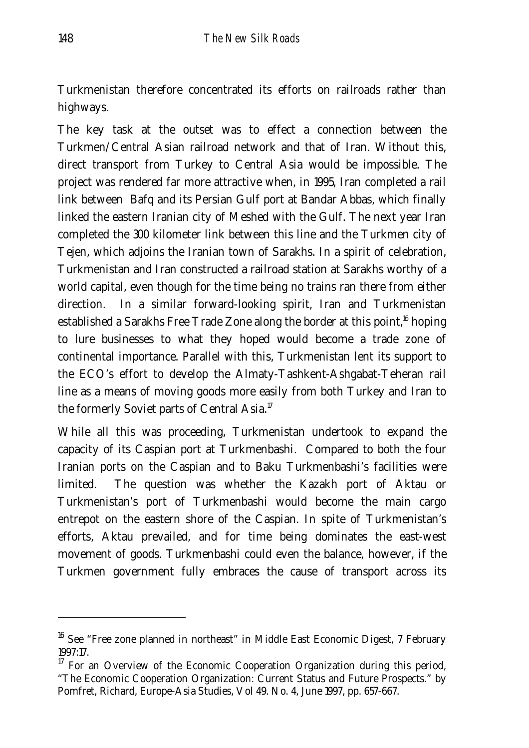Turkmenistan therefore concentrated its efforts on railroads rather than highways.

The key task at the outset was to effect a connection between the Turkmen/Central Asian railroad network and that of Iran. Without this, direct transport from Turkey to Central Asia would be impossible. The project was rendered far more attractive when, in 1995, Iran completed a rail link between Bafq and its Persian Gulf port at Bandar Abbas, which finally linked the eastern Iranian city of Meshed with the Gulf. The next year Iran completed the 300 kilometer link between this line and the Turkmen city of Tejen, which adjoins the Iranian town of Sarakhs. In a spirit of celebration, Turkmenistan and Iran constructed a railroad station at Sarakhs worthy of a world capital, even though for the time being no trains ran there from either direction. In a similar forward-looking spirit, Iran and Turkmenistan established a Sarakhs Free Trade Zone along the border at this point,<sup>16</sup> hoping to lure businesses to what they hoped would become a trade zone of continental importance. Parallel with this, Turkmenistan lent its support to the ECO's effort to develop the Almaty-Tashkent-Ashgabat-Teheran rail line as a means of moving goods more easily from both Turkey and Iran to the formerly Soviet parts of Central Asia.<sup>17</sup>

While all this was proceeding, Turkmenistan undertook to expand the capacity of its Caspian port at Turkmenbashi. Compared to both the four Iranian ports on the Caspian and to Baku Turkmenbashi's facilities were limited. The question was whether the Kazakh port of Aktau or Turkmenistan's port of Turkmenbashi would become the main cargo entrepot on the eastern shore of the Caspian. In spite of Turkmenistan's efforts, Aktau prevailed, and for time being dominates the east-west movement of goods. Turkmenbashi could even the balance, however, if the Turkmen government fully embraces the cause of transport across its

<sup>&</sup>lt;sup>16</sup> See "Free zone planned in northeast" in Middle East Economic Digest, 7 February 1997:17.

 $17$  For an Overview of the Economic Cooperation Organization during this period, "The Economic Cooperation Organization: Current Status and Future Prospects." by Pomfret, Richard, Europe-Asia Studies, Vol 49. No. 4, June 1997, pp. 657-667.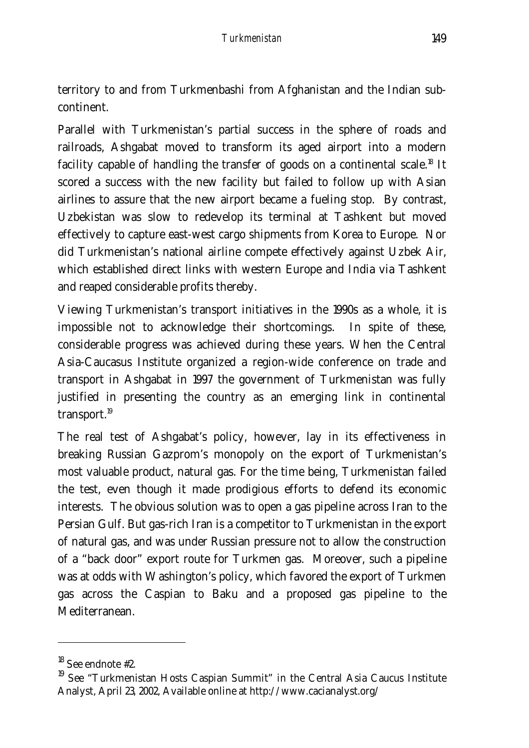territory to and from Turkmenbashi from Afghanistan and the Indian subcontinent.

Parallel with Turkmenistan's partial success in the sphere of roads and railroads, Ashgabat moved to transform its aged airport into a modern facility capable of handling the transfer of goods on a continental scale.<sup>18</sup> It scored a success with the new facility but failed to follow up with Asian airlines to assure that the new airport became a fueling stop. By contrast, Uzbekistan was slow to redevelop its terminal at Tashkent but moved effectively to capture east-west cargo shipments from Korea to Europe. Nor did Turkmenistan's national airline compete effectively against Uzbek Air, which established direct links with western Europe and India via Tashkent and reaped considerable profits thereby.

Viewing Turkmenistan's transport initiatives in the 1990s as a whole, it is impossible not to acknowledge their shortcomings. In spite of these, considerable progress was achieved during these years. When the Central Asia-Caucasus Institute organized a region-wide conference on trade and transport in Ashgabat in 1997 the government of Turkmenistan was fully justified in presenting the country as an emerging link in continental transport.<sup>19</sup>

The real test of Ashgabat's policy, however, lay in its effectiveness in breaking Russian Gazprom's monopoly on the export of Turkmenistan's most valuable product, natural gas. For the time being, Turkmenistan failed the test, even though it made prodigious efforts to defend its economic interests. The obvious solution was to open a gas pipeline across Iran to the Persian Gulf. But gas-rich Iran is a competitor to Turkmenistan in the export of natural gas, and was under Russian pressure not to allow the construction of a "back door" export route for Turkmen gas. Moreover, such a pipeline was at odds with Washington's policy, which favored the export of Turkmen gas across the Caspian to Baku and a proposed gas pipeline to the Mediterranean.

 $18$  See endnote #2.

<sup>19</sup> See "Turkmenistan Hosts Caspian Summit" in the Central Asia Caucus Institute Analyst, April 23, 2002, Available online at http://www.cacianalyst.org/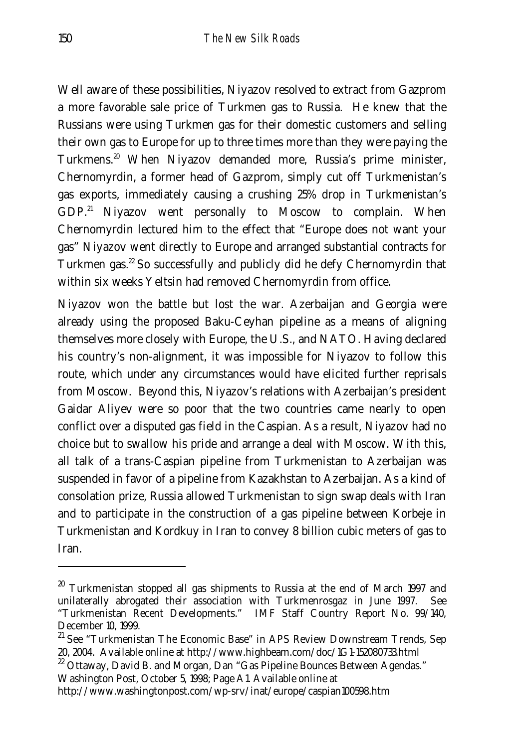Well aware of these possibilities, Niyazov resolved to extract from Gazprom a more favorable sale price of Turkmen gas to Russia. He knew that the Russians were using Turkmen gas for their domestic customers and selling their own gas to Europe for up to three times more than they were paying the Turkmens.20 When Niyazov demanded more, Russia's prime minister, Chernomyrdin, a former head of Gazprom, simply cut off Turkmenistan's gas exports, immediately causing a crushing 25% drop in Turkmenistan's GDP.<sup>21</sup> Niyazov went personally to Moscow to complain. When Chernomyrdin lectured him to the effect that "Europe does not want your gas" Niyazov went directly to Europe and arranged substantial contracts for Turkmen gas.<sup>22</sup> So successfully and publicly did he defy Chernomyrdin that within six weeks Yeltsin had removed Chernomyrdin from office.

Niyazov won the battle but lost the war. Azerbaijan and Georgia were already using the proposed Baku-Ceyhan pipeline as a means of aligning themselves more closely with Europe, the U.S., and NATO. Having declared his country's non-alignment, it was impossible for Niyazov to follow this route, which under any circumstances would have elicited further reprisals from Moscow. Beyond this, Niyazov's relations with Azerbaijan's president Gaidar Aliyev were so poor that the two countries came nearly to open conflict over a disputed gas field in the Caspian. As a result, Niyazov had no choice but to swallow his pride and arrange a deal with Moscow. With this, all talk of a trans-Caspian pipeline from Turkmenistan to Azerbaijan was suspended in favor of a pipeline from Kazakhstan to Azerbaijan. As a kind of consolation prize, Russia allowed Turkmenistan to sign swap deals with Iran and to participate in the construction of a gas pipeline between Korbeje in Turkmenistan and Kordkuy in Iran to convey 8 billion cubic meters of gas to Iran.

Washington Post, October 5, 1998; Page A1. Available online at

 $20$  Turkmenistan stopped all gas shipments to Russia at the end of March 1997 and unilaterally abrogated their association with Turkmenrosgaz in June 1997. See "Turkmenistan Recent Developments." IMF Staff Country Report No. 99/140, December 10, 1999.

<sup>&</sup>lt;sup>21</sup> See "Turkmenistan The Economic Base" in APS Review Downstream Trends, Sep 20, 2004. Available online at http://www.highbeam.com/doc/1G1-152080733.html  $^{22}$  Ottaway, David B. and Morgan, Dan "Gas Pipeline Bounces Between Agendas."

http://www.washingtonpost.com/wp-srv/inat/europe/caspian100598.htm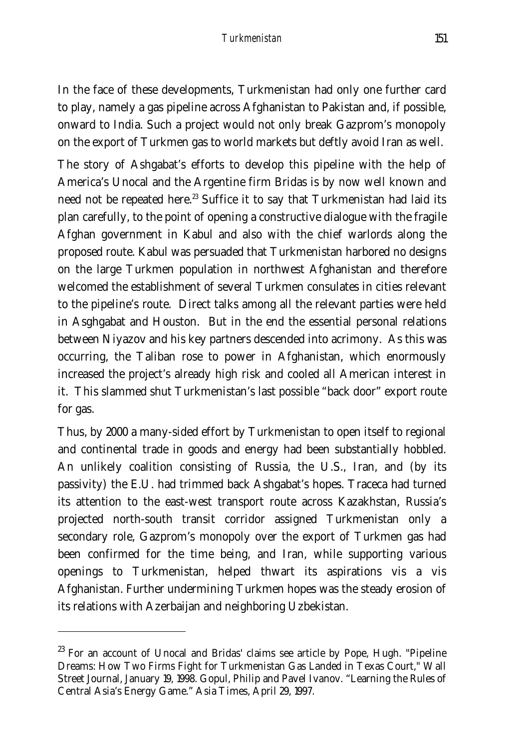In the face of these developments, Turkmenistan had only one further card to play, namely a gas pipeline across Afghanistan to Pakistan and, if possible, onward to India. Such a project would not only break Gazprom's monopoly on the export of Turkmen gas to world markets but deftly avoid Iran as well.

The story of Ashgabat's efforts to develop this pipeline with the help of America's Unocal and the Argentine firm Bridas is by now well known and need not be repeated here.<sup>23</sup> Suffice it to say that Turkmenistan had laid its plan carefully, to the point of opening a constructive dialogue with the fragile Afghan government in Kabul and also with the chief warlords along the proposed route. Kabul was persuaded that Turkmenistan harbored no designs on the large Turkmen population in northwest Afghanistan and therefore welcomed the establishment of several Turkmen consulates in cities relevant to the pipeline's route. Direct talks among all the relevant parties were held in Asghgabat and Houston. But in the end the essential personal relations between Niyazov and his key partners descended into acrimony. As this was occurring, the Taliban rose to power in Afghanistan, which enormously increased the project's already high risk and cooled all American interest in it. This slammed shut Turkmenistan's last possible "back door" export route for gas.

Thus, by 2000 a many-sided effort by Turkmenistan to open itself to regional and continental trade in goods and energy had been substantially hobbled. An unlikely coalition consisting of Russia, the U.S., Iran, and (by its passivity) the E.U. had trimmed back Ashgabat's hopes. Traceca had turned its attention to the east-west transport route across Kazakhstan, Russia's projected north-south transit corridor assigned Turkmenistan only a secondary role, Gazprom's monopoly over the export of Turkmen gas had been confirmed for the time being, and Iran, while supporting various openings to Turkmenistan, helped thwart its aspirations vis a vis Afghanistan. Further undermining Turkmen hopes was the steady erosion of its relations with Azerbaijan and neighboring Uzbekistan.

<sup>&</sup>lt;sup>23</sup> For an account of Unocal and Bridas' claims see article by Pope, Hugh. "Pipeline Dreams: How Two Firms Fight for Turkmenistan Gas Landed in Texas Court," Wall Street Journal, January 19, 1998. Gopul, Philip and Pavel Ivanov. "Learning the Rules of Central Asia's Energy Game." Asia Times, April 29, 1997.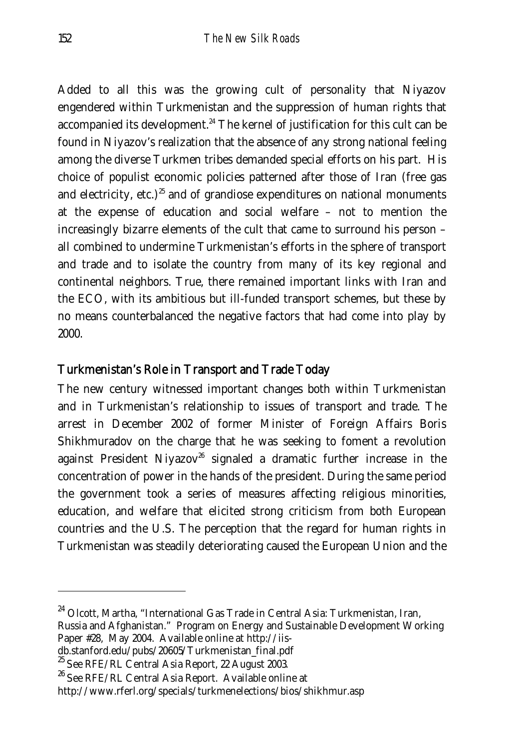Added to all this was the growing cult of personality that Niyazov engendered within Turkmenistan and the suppression of human rights that accompanied its development. $24$  The kernel of justification for this cult can be found in Niyazov's realization that the absence of any strong national feeling among the diverse Turkmen tribes demanded special efforts on his part. His choice of populist economic policies patterned after those of Iran (free gas and electricity, etc.)<sup>25</sup> and of grandiose expenditures on national monuments at the expense of education and social welfare – not to mention the increasingly bizarre elements of the cult that came to surround his person – all combined to undermine Turkmenistan's efforts in the sphere of transport and trade and to isolate the country from many of its key regional and continental neighbors. True, there remained important links with Iran and the ECO, with its ambitious but ill-funded transport schemes, but these by no means counterbalanced the negative factors that had come into play by 2000.

#### Turkmenistan's Role in Transport and Trade Today

The new century witnessed important changes both within Turkmenistan and in Turkmenistan's relationship to issues of transport and trade. The arrest in December 2002 of former Minister of Foreign Affairs Boris Shikhmuradov on the charge that he was seeking to foment a revolution against President Niyazov $^{26}$  signaled a dramatic further increase in the concentration of power in the hands of the president. During the same period the government took a series of measures affecting religious minorities, education, and welfare that elicited strong criticism from both European countries and the U.S. The perception that the regard for human rights in Turkmenistan was steadily deteriorating caused the European Union and the

24 Olcott, Martha, "International Gas Trade in Central Asia: Turkmenistan, Iran, Russia and Afghanistan." Program on Energy and Sustainable Development Working Paper #28, May 2004. Available online at http://iis-

db.stanford.edu/pubs/20605/Turkmenistan\_final.pdf

<sup>25</sup> See RFE/RL Central Asia Report, 22 August 2003.

<sup>26</sup> See RFE/RL Central Asia Report. Available online at

http://www.rferl.org/specials/turkmenelections/bios/shikhmur.asp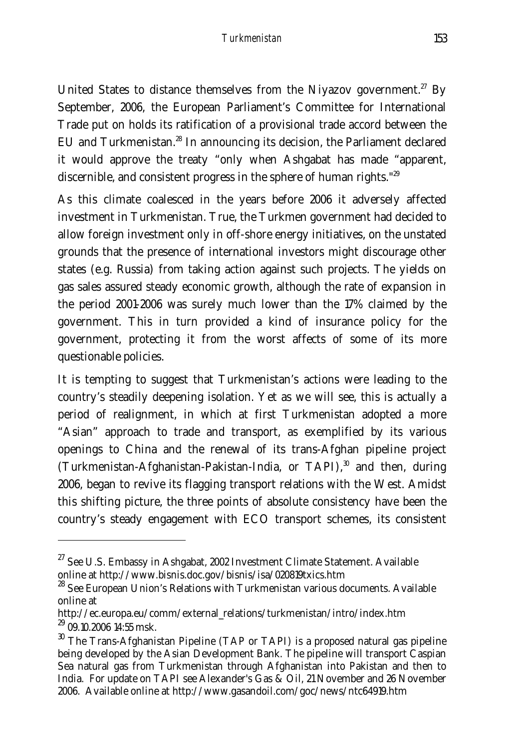United States to distance themselves from the Niyazov government.<sup>27</sup> By September, 2006, the European Parliament's Committee for International Trade put on holds its ratification of a provisional trade accord between the EU and Turkmenistan.28 In announcing its decision, the Parliament declared it would approve the treaty "only when Ashgabat has made "apparent, discernible, and consistent progress in the sphere of human rights."29

As this climate coalesced in the years before 2006 it adversely affected investment in Turkmenistan. True, the Turkmen government had decided to allow foreign investment only in off-shore energy initiatives, on the unstated grounds that the presence of international investors might discourage other states (e.g. Russia) from taking action against such projects. The yields on gas sales assured steady economic growth, although the rate of expansion in the period 2001-2006 was surely much lower than the 17% claimed by the government. This in turn provided a kind of insurance policy for the government, protecting it from the worst affects of some of its more questionable policies.

It is tempting to suggest that Turkmenistan's actions were leading to the country's steadily deepening isolation. Yet as we will see, this is actually a period of realignment, in which at first Turkmenistan adopted a more "Asian" approach to trade and transport, as exemplified by its various openings to China and the renewal of its trans-Afghan pipeline project (Turkmenistan-Afghanistan-Pakistan-India, or TAPI), $^{30}$  and then, during 2006, began to revive its flagging transport relations with the West. Amidst this shifting picture, the three points of absolute consistency have been the country's steady engagement with ECO transport schemes, its consistent

 $27$  See U.S. Embassy in Ashgabat, 2002 Investment Climate Statement. Available online at http://www.bisnis.doc.gov/bisnis/isa/020819txics.htm

 $^{28}$  See European Union's Relations with Turkmenistan various documents. Available online at

http://ec.europa.eu/comm/external\_relations/turkmenistan/intro/index.htm  $29$  09.10.2006 14:55 msk.

<sup>30</sup> The Trans-Afghanistan Pipeline (TAP or TAPI) is a proposed natural gas pipeline being developed by the Asian Development Bank. The pipeline will transport Caspian Sea natural gas from Turkmenistan through Afghanistan into Pakistan and then to India. For update on TAPI see Alexander's Gas & Oil, 21 November and 26 November 2006. Available online at http://www.gasandoil.com/goc/news/ntc64919.htm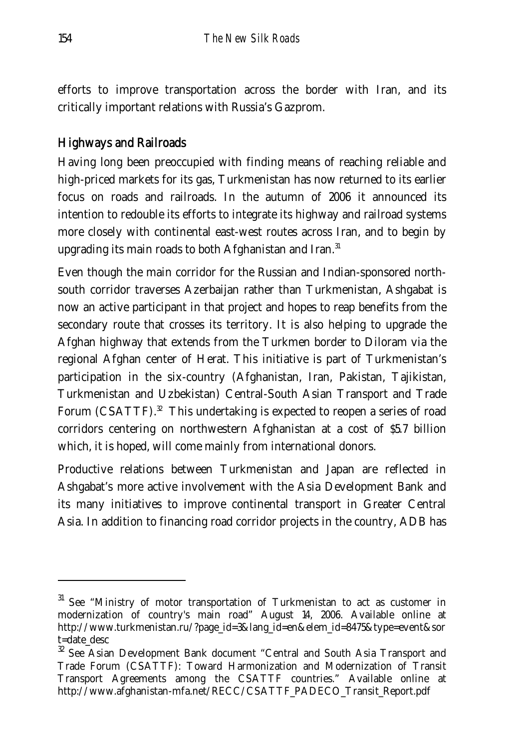efforts to improve transportation across the border with Iran, and its critically important relations with Russia's Gazprom.

### Highways and Railroads

Having long been preoccupied with finding means of reaching reliable and high-priced markets for its gas, Turkmenistan has now returned to its earlier focus on roads and railroads. In the autumn of 2006 it announced its intention to redouble its efforts to integrate its highway and railroad systems more closely with continental east-west routes across Iran, and to begin by upgrading its main roads to both Afghanistan and Iran.<sup>31</sup>

Even though the main corridor for the Russian and Indian-sponsored northsouth corridor traverses Azerbaijan rather than Turkmenistan, Ashgabat is now an active participant in that project and hopes to reap benefits from the secondary route that crosses its territory. It is also helping to upgrade the Afghan highway that extends from the Turkmen border to Diloram via the regional Afghan center of Herat. This initiative is part of Turkmenistan's participation in the six-country (Afghanistan, Iran, Pakistan, Tajikistan, Turkmenistan and Uzbekistan) Central-South Asian Transport and Trade Forum (CSATTF).<sup>32</sup> This undertaking is expected to reopen a series of road corridors centering on northwestern Afghanistan at a cost of \$5.7 billion which, it is hoped, will come mainly from international donors.

Productive relations between Turkmenistan and Japan are reflected in Ashgabat's more active involvement with the Asia Development Bank and its many initiatives to improve continental transport in Greater Central Asia. In addition to financing road corridor projects in the country, ADB has

<sup>31</sup> See "Ministry of motor transportation of Turkmenistan to act as customer in modernization of country's main road" August 14, 2006. Available online at http://www.turkmenistan.ru/?page\_id=3&lang\_id=en&elem\_id=8475&type=event&sor t=date\_desc

<sup>&</sup>lt;sup>32</sup> See Asian Development Bank document "Central and South Asia Transport and Trade Forum (CSATTF): Toward Harmonization and Modernization of Transit Transport Agreements among the CSATTF countries." Available online at http://www.afghanistan-mfa.net/RECC/CSATTF\_PADECO\_Transit\_Report.pdf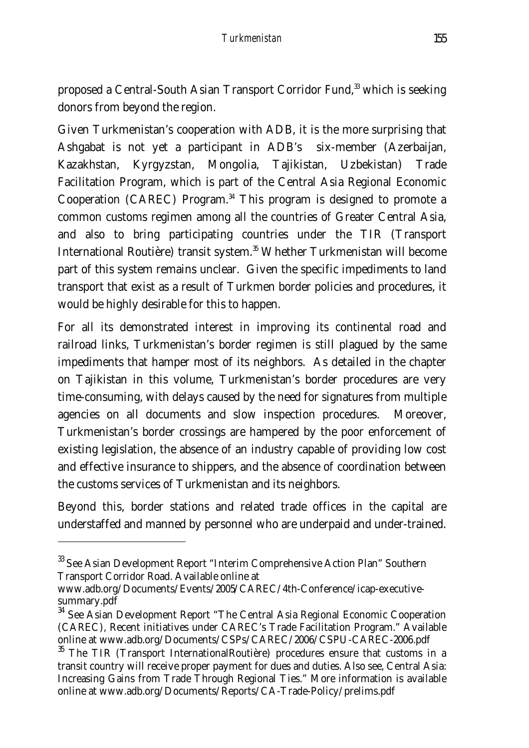proposed a Central-South Asian Transport Corridor Fund,<sup>33</sup> which is seeking donors from beyond the region.

Given Turkmenistan's cooperation with ADB, it is the more surprising that Ashgabat is not yet a participant in ADB's six-member (Azerbaijan, Kazakhstan, Kyrgyzstan, Mongolia, Tajikistan, Uzbekistan) Trade Facilitation Program, which is part of the Central Asia Regional Economic Cooperation (CAREC) Program. $34$  This program is designed to promote a common customs regimen among all the countries of Greater Central Asia, and also to bring participating countries under the TIR (Transport International Routière) transit system.<sup>35</sup> Whether Turkmenistan will become part of this system remains unclear. Given the specific impediments to land transport that exist as a result of Turkmen border policies and procedures, it would be highly desirable for this to happen.

For all its demonstrated interest in improving its continental road and railroad links, Turkmenistan's border regimen is still plagued by the same impediments that hamper most of its neighbors. As detailed in the chapter on Tajikistan in this volume, Turkmenistan's border procedures are very time-consuming, with delays caused by the need for signatures from multiple agencies on all documents and slow inspection procedures. Moreover, Turkmenistan's border crossings are hampered by the poor enforcement of existing legislation, the absence of an industry capable of providing low cost and effective insurance to shippers, and the absence of coordination between the customs services of Turkmenistan and its neighbors.

Beyond this, border stations and related trade offices in the capital are understaffed and manned by personnel who are underpaid and under-trained.

<sup>&</sup>lt;sup>33</sup> See Asian Development Report "Interim Comprehensive Action Plan" Southern Transport Corridor Road. Available online at

www.adb.org/Documents/Events/2005/CAREC/4th-Conference/icap-executivesummary.pdf

<sup>&</sup>lt;sup>34</sup> See Asian Development Report "The Central Asia Regional Economic Cooperation (CAREC), Recent initiatives under CAREC's Trade Facilitation Program." Available

 $35$  The TIR (Transport InternationalRoutière) procedures ensure that customs in a transit country will receive proper payment for dues and duties. Also see, Central Asia: Increasing Gains from Trade Through Regional Ties." More information is available online at www.adb.org/Documents/Reports/CA-Trade-Policy/prelims.pdf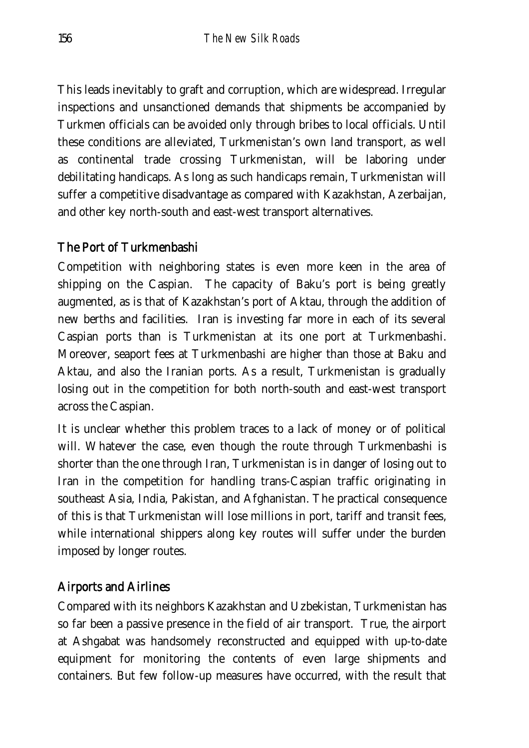This leads inevitably to graft and corruption, which are widespread. Irregular inspections and unsanctioned demands that shipments be accompanied by Turkmen officials can be avoided only through bribes to local officials. Until these conditions are alleviated, Turkmenistan's own land transport, as well as continental trade crossing Turkmenistan, will be laboring under debilitating handicaps. As long as such handicaps remain, Turkmenistan will suffer a competitive disadvantage as compared with Kazakhstan, Azerbaijan, and other key north-south and east-west transport alternatives.

### The Port of Turkmenbashi

Competition with neighboring states is even more keen in the area of shipping on the Caspian. The capacity of Baku's port is being greatly augmented, as is that of Kazakhstan's port of Aktau, through the addition of new berths and facilities. Iran is investing far more in each of its several Caspian ports than is Turkmenistan at its one port at Turkmenbashi. Moreover, seaport fees at Turkmenbashi are higher than those at Baku and Aktau, and also the Iranian ports. As a result, Turkmenistan is gradually losing out in the competition for both north-south and east-west transport across the Caspian.

It is unclear whether this problem traces to a lack of money or of political will. Whatever the case, even though the route through Turkmenbashi is shorter than the one through Iran, Turkmenistan is in danger of losing out to Iran in the competition for handling trans-Caspian traffic originating in southeast Asia, India, Pakistan, and Afghanistan. The practical consequence of this is that Turkmenistan will lose millions in port, tariff and transit fees, while international shippers along key routes will suffer under the burden imposed by longer routes.

## Airports and Airlines

Compared with its neighbors Kazakhstan and Uzbekistan, Turkmenistan has so far been a passive presence in the field of air transport. True, the airport at Ashgabat was handsomely reconstructed and equipped with up-to-date equipment for monitoring the contents of even large shipments and containers. But few follow-up measures have occurred, with the result that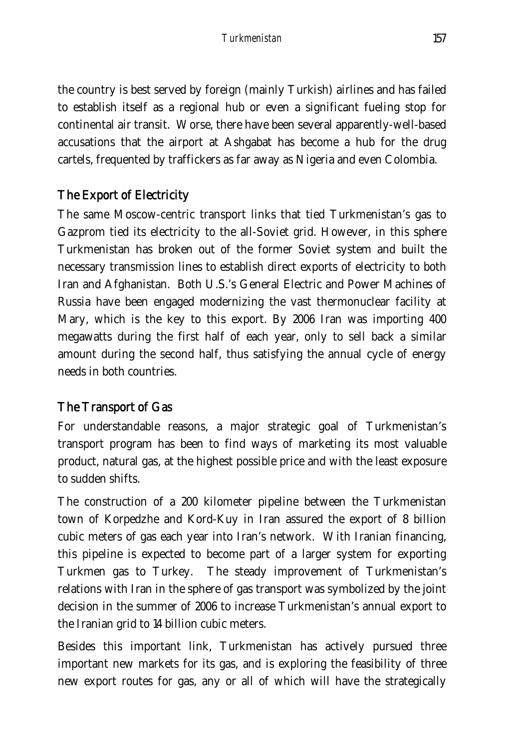the country is best served by foreign (mainly Turkish) airlines and has failed to establish itself as a regional hub or even a significant fueling stop for continental air transit. Worse, there have been several apparently-well-based accusations that the airport at Ashgabat has become a hub for the drug cartels, frequented by traffickers as far away as Nigeria and even Colombia.

# The Export of Electricity

The same Moscow-centric transport links that tied Turkmenistan's gas to Gazprom tied its electricity to the all-Soviet grid. However, in this sphere Turkmenistan has broken out of the former Soviet system and built the necessary transmission lines to establish direct exports of electricity to both Iran and Afghanistan. Both U.S.'s General Electric and Power Machines of Russia have been engaged modernizing the vast thermonuclear facility at Mary, which is the key to this export. By 2006 Iran was importing 400 megawatts during the first half of each year, only to sell back a similar amount during the second half, thus satisfying the annual cycle of energy needs in both countries.

# The Transport of Gas

For understandable reasons, a major strategic goal of Turkmenistan's transport program has been to find ways of marketing its most valuable product, natural gas, at the highest possible price and with the least exposure to sudden shifts.

The construction of a 200 kilometer pipeline between the Turkmenistan town of Korpedzhe and Kord-Kuy in Iran assured the export of 8 billion cubic meters of gas each year into Iran's network. With Iranian financing, this pipeline is expected to become part of a larger system for exporting Turkmen gas to Turkey. The steady improvement of Turkmenistan's relations with Iran in the sphere of gas transport was symbolized by the joint decision in the summer of 2006 to increase Turkmenistan's annual export to the Iranian grid to 14 billion cubic meters.

Besides this important link, Turkmenistan has actively pursued three important new markets for its gas, and is exploring the feasibility of three new export routes for gas, any or all of which will have the strategically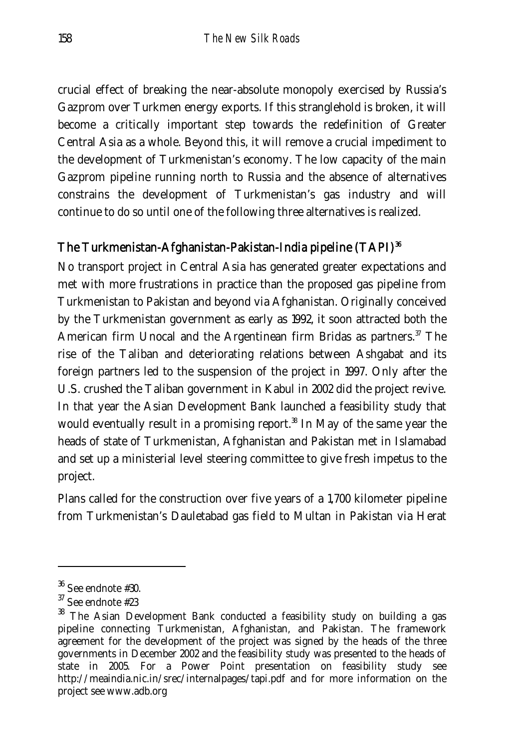crucial effect of breaking the near-absolute monopoly exercised by Russia's Gazprom over Turkmen energy exports. If this stranglehold is broken, it will become a critically important step towards the redefinition of Greater Central Asia as a whole. Beyond this, it will remove a crucial impediment to the development of Turkmenistan's economy. The low capacity of the main Gazprom pipeline running north to Russia and the absence of alternatives constrains the development of Turkmenistan's gas industry and will continue to do so until one of the following three alternatives is realized.

### The Turkmenistan-Afghanistan-Pakistan-India pipeline (TAPI)<sup>36</sup>

No transport project in Central Asia has generated greater expectations and met with more frustrations in practice than the proposed gas pipeline from Turkmenistan to Pakistan and beyond via Afghanistan. Originally conceived by the Turkmenistan government as early as 1992, it soon attracted both the American firm Unocal and the Argentinean firm Bridas as partners.<sup>37</sup> The rise of the Taliban and deteriorating relations between Ashgabat and its foreign partners led to the suspension of the project in 1997. Only after the U.S. crushed the Taliban government in Kabul in 2002 did the project revive. In that year the Asian Development Bank launched a feasibility study that would eventually result in a promising report.<sup>38</sup> In May of the same year the heads of state of Turkmenistan, Afghanistan and Pakistan met in Islamabad and set up a ministerial level steering committee to give fresh impetus to the project.

Plans called for the construction over five years of a 1,700 kilometer pipeline from Turkmenistan's Dauletabad gas field to Multan in Pakistan via Herat

 $36$  See endnote #30.

 $37$  See endnote  $#23$ 

<sup>&</sup>lt;sup>38</sup> The Asian Development Bank conducted a feasibility study on building a gas pipeline connecting Turkmenistan, Afghanistan, and Pakistan. The framework agreement for the development of the project was signed by the heads of the three governments in December 2002 and the feasibility study was presented to the heads of state in 2005. For a Power Point presentation on feasibility study see http://meaindia.nic.in/srec/internalpages/tapi.pdf and for more information on the project see www.adb.org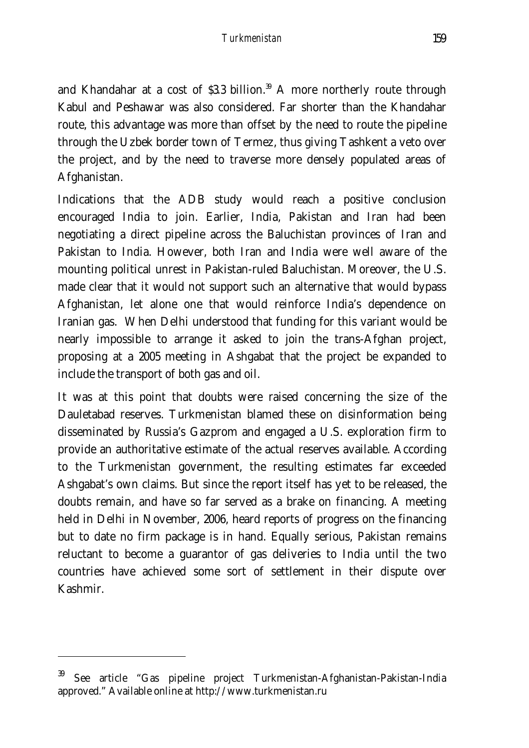and Khandahar at a cost of \$3.3 billion.<sup>39</sup> A more northerly route through Kabul and Peshawar was also considered. Far shorter than the Khandahar route, this advantage was more than offset by the need to route the pipeline through the Uzbek border town of Termez, thus giving Tashkent a veto over the project, and by the need to traverse more densely populated areas of Afghanistan.

Indications that the ADB study would reach a positive conclusion encouraged India to join. Earlier, India, Pakistan and Iran had been negotiating a direct pipeline across the Baluchistan provinces of Iran and Pakistan to India. However, both Iran and India were well aware of the mounting political unrest in Pakistan-ruled Baluchistan. Moreover, the U.S. made clear that it would not support such an alternative that would bypass Afghanistan, let alone one that would reinforce India's dependence on Iranian gas. When Delhi understood that funding for this variant would be nearly impossible to arrange it asked to join the trans-Afghan project, proposing at a 2005 meeting in Ashgabat that the project be expanded to include the transport of both gas and oil.

It was at this point that doubts were raised concerning the size of the Dauletabad reserves. Turkmenistan blamed these on disinformation being disseminated by Russia's Gazprom and engaged a U.S. exploration firm to provide an authoritative estimate of the actual reserves available. According to the Turkmenistan government, the resulting estimates far exceeded Ashgabat's own claims. But since the report itself has yet to be released, the doubts remain, and have so far served as a brake on financing. A meeting held in Delhi in November, 2006, heard reports of progress on the financing but to date no firm package is in hand. Equally serious, Pakistan remains reluctant to become a guarantor of gas deliveries to India until the two countries have achieved some sort of settlement in their dispute over Kashmir.

<sup>39</sup> See article "Gas pipeline project Turkmenistan-Afghanistan-Pakistan-India approved." Available online at http://www.turkmenistan.ru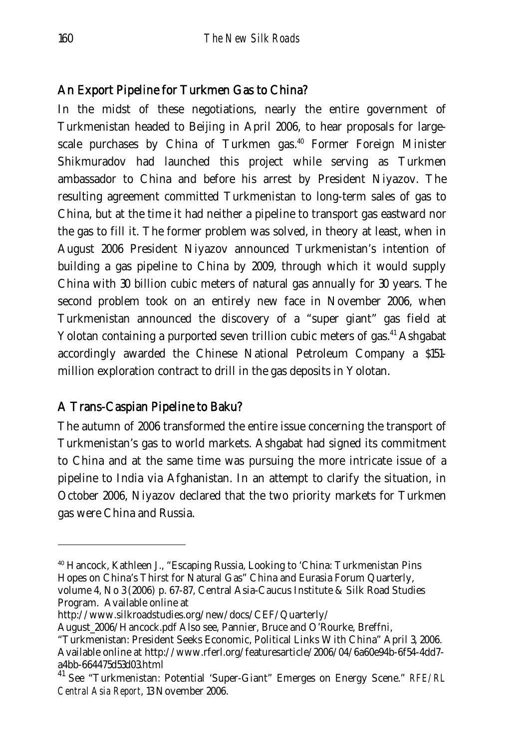### An Export Pipeline for Turkmen Gas to China?

In the midst of these negotiations, nearly the entire government of Turkmenistan headed to Beijing in April 2006, to hear proposals for largescale purchases by China of Turkmen gas.<sup>40</sup> Former Foreign Minister Shikmuradov had launched this project while serving as Turkmen ambassador to China and before his arrest by President Niyazov. The resulting agreement committed Turkmenistan to long-term sales of gas to China, but at the time it had neither a pipeline to transport gas eastward nor the gas to fill it. The former problem was solved, in theory at least, when in August 2006 President Niyazov announced Turkmenistan's intention of building a gas pipeline to China by 2009, through which it would supply China with 30 billion cubic meters of natural gas annually for 30 years. The second problem took on an entirely new face in November 2006, when Turkmenistan announced the discovery of a "super giant" gas field at Yolotan containing a purported seven trillion cubic meters of gas.<sup>41</sup> Ashgabat accordingly awarded the Chinese National Petroleum Company a \$151 million exploration contract to drill in the gas deposits in Yolotan.

### A Trans-Caspian Pipeline to Baku?

The autumn of 2006 transformed the entire issue concerning the transport of Turkmenistan's gas to world markets. Ashgabat had signed its commitment to China and at the same time was pursuing the more intricate issue of a pipeline to India via Afghanistan. In an attempt to clarify the situation, in October 2006, Niyazov declared that the two priority markets for Turkmen gas were China and Russia.

<sup>40</sup> Hancock, Kathleen J., "Escaping Russia, Looking to 'China: Turkmenistan Pins Hopes on China's Thirst for Natural Gas" China and Eurasia Forum Quarterly, volume 4, No 3 (2006) p. 67-87, Central Asia-Caucus Institute & Silk Road Studies Program. Available online at

http://www.silkroadstudies.org/new/docs/CEF/Quarterly/

August 2006/Hancock.pdf Also see, Pannier, Bruce and O'Rourke, Breffni,

<sup>&</sup>quot;Turkmenistan: President Seeks Economic, Political Links With China" April 3, 2006. Available online at http://www.rferl.org/featuresarticle/2006/04/6a60e94b-6f54-4dd7 a4bb-664475d53d03.html

<sup>41</sup> See "Turkmenistan: Potential 'Super-Giant" Emerges on Energy Scene." *RFE/RL Central Asia Report*, 13 November 2006.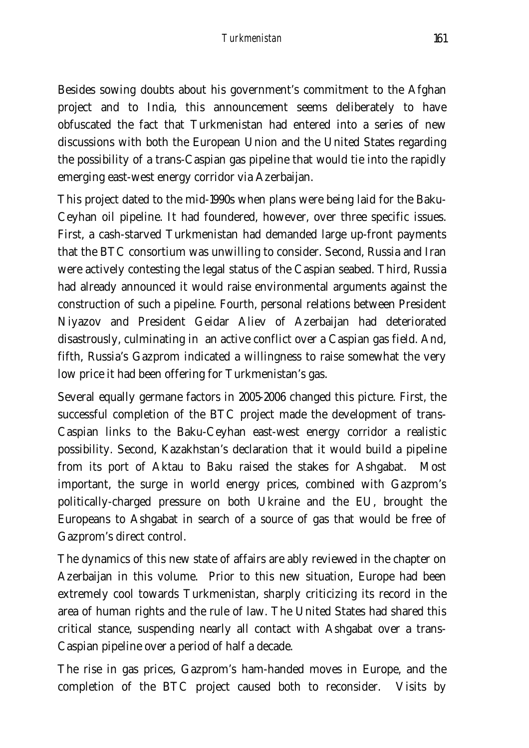Besides sowing doubts about his government's commitment to the Afghan project and to India, this announcement seems deliberately to have obfuscated the fact that Turkmenistan had entered into a series of new discussions with both the European Union and the United States regarding the possibility of a trans-Caspian gas pipeline that would tie into the rapidly emerging east-west energy corridor via Azerbaijan.

This project dated to the mid-1990s when plans were being laid for the Baku-Ceyhan oil pipeline. It had foundered, however, over three specific issues. First, a cash-starved Turkmenistan had demanded large up-front payments that the BTC consortium was unwilling to consider. Second, Russia and Iran were actively contesting the legal status of the Caspian seabed. Third, Russia had already announced it would raise environmental arguments against the construction of such a pipeline. Fourth, personal relations between President Niyazov and President Geidar Aliev of Azerbaijan had deteriorated disastrously, culminating in an active conflict over a Caspian gas field. And, fifth, Russia's Gazprom indicated a willingness to raise somewhat the very low price it had been offering for Turkmenistan's gas.

Several equally germane factors in 2005-2006 changed this picture. First, the successful completion of the BTC project made the development of trans-Caspian links to the Baku-Ceyhan east-west energy corridor a realistic possibility. Second, Kazakhstan's declaration that it would build a pipeline from its port of Aktau to Baku raised the stakes for Ashgabat. Most important, the surge in world energy prices, combined with Gazprom's politically-charged pressure on both Ukraine and the EU, brought the Europeans to Ashgabat in search of a source of gas that would be free of Gazprom's direct control.

The dynamics of this new state of affairs are ably reviewed in the chapter on Azerbaijan in this volume. Prior to this new situation, Europe had been extremely cool towards Turkmenistan, sharply criticizing its record in the area of human rights and the rule of law. The United States had shared this critical stance, suspending nearly all contact with Ashgabat over a trans-Caspian pipeline over a period of half a decade.

The rise in gas prices, Gazprom's ham-handed moves in Europe, and the completion of the BTC project caused both to reconsider. Visits by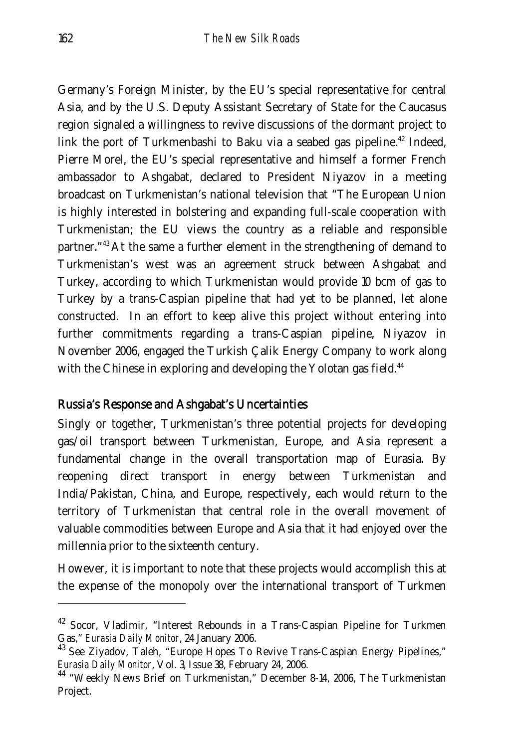Germany's Foreign Minister, by the EU's special representative for central Asia, and by the U.S. Deputy Assistant Secretary of State for the Caucasus region signaled a willingness to revive discussions of the dormant project to link the port of Turkmenbashi to Baku via a seabed gas pipeline.<sup>42</sup> Indeed, Pierre Morel, the EU's special representative and himself a former French ambassador to Ashgabat, declared to President Niyazov in a meeting broadcast on Turkmenistan's national television that "The European Union is highly interested in bolstering and expanding full-scale cooperation with Turkmenistan; the EU views the country as a reliable and responsible partner."43 At the same a further element in the strengthening of demand to Turkmenistan's west was an agreement struck between Ashgabat and Turkey, according to which Turkmenistan would provide 10 bcm of gas to Turkey by a trans-Caspian pipeline that had yet to be planned, let alone constructed. In an effort to keep alive this project without entering into further commitments regarding a trans-Caspian pipeline, Niyazov in November 2006, engaged the Turkish Çalik Energy Company to work along with the Chinese in exploring and developing the Yolotan gas field.<sup>44</sup>

### Russia's Response and Ashgabat's Uncertainties

Singly or together, Turkmenistan's three potential projects for developing gas/oil transport between Turkmenistan, Europe, and Asia represent a fundamental change in the overall transportation map of Eurasia. By reopening direct transport in energy between Turkmenistan and India/Pakistan, China, and Europe, respectively, each would return to the territory of Turkmenistan that central role in the overall movement of valuable commodities between Europe and Asia that it had enjoyed over the millennia prior to the sixteenth century.

However, it is important to note that these projects would accomplish this at the expense of the monopoly over the international transport of Turkmen

<sup>&</sup>lt;sup>42</sup> Socor, Vladimir, "Interest Rebounds in a Trans-Caspian Pipeline for Turkmen Gas," *Eurasia Daily Monitor*, 24 January 2006.

<sup>&</sup>lt;sup>43</sup> See Ziyadov, Taleh, "Europe Hopes To Revive Trans-Caspian Energy Pipelines,"

*Eurasia Daily Monitor*, Vol. 3, Issue 38, February 24, 2006.<br><sup>44</sup> "Weekly News Brief on Turkmenistan," December 8-14, 2006, The Turkmenistan Project.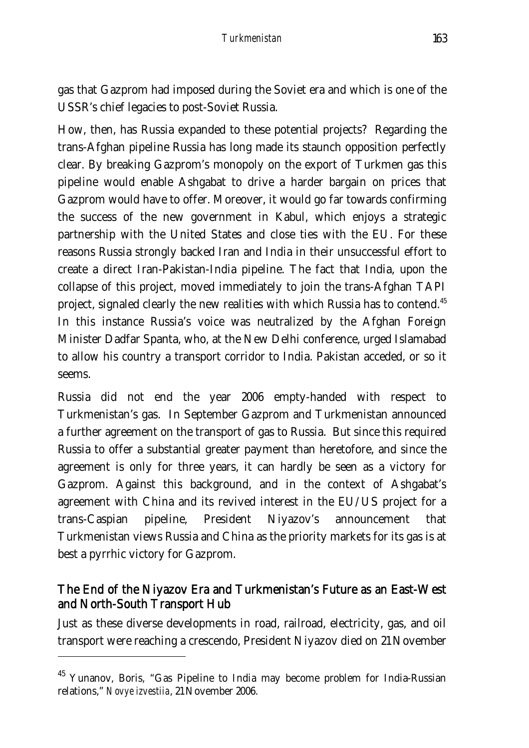gas that Gazprom had imposed during the Soviet era and which is one of the USSR's chief legacies to post-Soviet Russia.

How, then, has Russia expanded to these potential projects? Regarding the trans-Afghan pipeline Russia has long made its staunch opposition perfectly clear. By breaking Gazprom's monopoly on the export of Turkmen gas this pipeline would enable Ashgabat to drive a harder bargain on prices that Gazprom would have to offer. Moreover, it would go far towards confirming the success of the new government in Kabul, which enjoys a strategic partnership with the United States and close ties with the EU. For these reasons Russia strongly backed Iran and India in their unsuccessful effort to create a direct Iran-Pakistan-India pipeline. The fact that India, upon the collapse of this project, moved immediately to join the trans-Afghan TAPI project, signaled clearly the new realities with which Russia has to contend.<sup>45</sup> In this instance Russia's voice was neutralized by the Afghan Foreign Minister Dadfar Spanta, who, at the New Delhi conference, urged Islamabad to allow his country a transport corridor to India. Pakistan acceded, or so it seems.

Russia did not end the year 2006 empty-handed with respect to Turkmenistan's gas. In September Gazprom and Turkmenistan announced a further agreement on the transport of gas to Russia. But since this required Russia to offer a substantial greater payment than heretofore, and since the agreement is only for three years, it can hardly be seen as a victory for Gazprom. Against this background, and in the context of Ashgabat's agreement with China and its revived interest in the EU/US project for a trans-Caspian pipeline, President Niyazov's announcement that Turkmenistan views Russia and China as the priority markets for its gas is at best a pyrrhic victory for Gazprom.

### The End of the Niyazov Era and Turkmenistan's Future as an East-West and North-South Transport Hub

Just as these diverse developments in road, railroad, electricity, gas, and oil transport were reaching a crescendo, President Niyazov died on 21 November

<sup>&</sup>lt;sup>45</sup> Yunanov, Boris, "Gas Pipeline to India may become problem for India-Russian relations," *Novye izvestiia*, 21 November 2006.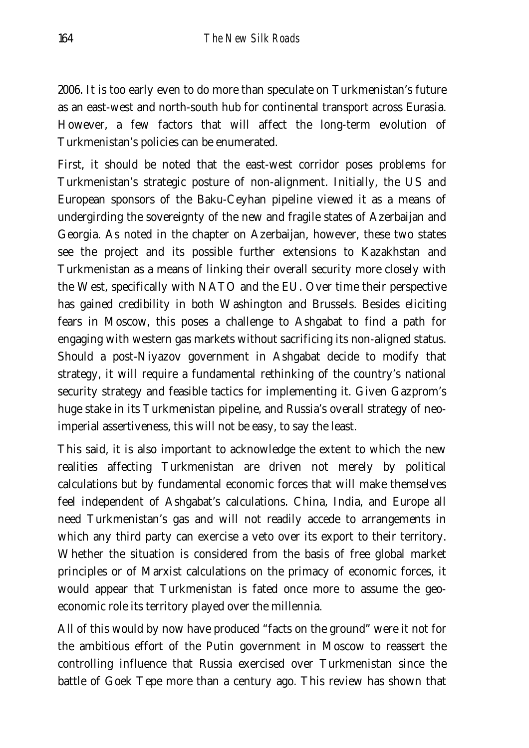2006. It is too early even to do more than speculate on Turkmenistan's future as an east-west and north-south hub for continental transport across Eurasia. However, a few factors that will affect the long-term evolution of Turkmenistan's policies can be enumerated.

First, it should be noted that the east-west corridor poses problems for Turkmenistan's strategic posture of non-alignment. Initially, the US and European sponsors of the Baku-Ceyhan pipeline viewed it as a means of undergirding the sovereignty of the new and fragile states of Azerbaijan and Georgia. As noted in the chapter on Azerbaijan, however, these two states see the project and its possible further extensions to Kazakhstan and Turkmenistan as a means of linking their overall security more closely with the West, specifically with NATO and the EU. Over time their perspective has gained credibility in both Washington and Brussels. Besides eliciting fears in Moscow, this poses a challenge to Ashgabat to find a path for engaging with western gas markets without sacrificing its non-aligned status. Should a post-Niyazov government in Ashgabat decide to modify that strategy, it will require a fundamental rethinking of the country's national security strategy and feasible tactics for implementing it. Given Gazprom's huge stake in its Turkmenistan pipeline, and Russia's overall strategy of neoimperial assertiveness, this will not be easy, to say the least.

This said, it is also important to acknowledge the extent to which the new realities affecting Turkmenistan are driven not merely by political calculations but by fundamental economic forces that will make themselves feel independent of Ashgabat's calculations. China, India, and Europe all need Turkmenistan's gas and will not readily accede to arrangements in which any third party can exercise a veto over its export to their territory. Whether the situation is considered from the basis of free global market principles or of Marxist calculations on the primacy of economic forces, it would appear that Turkmenistan is fated once more to assume the geoeconomic role its territory played over the millennia.

All of this would by now have produced "facts on the ground" were it not for the ambitious effort of the Putin government in Moscow to reassert the controlling influence that Russia exercised over Turkmenistan since the battle of Goek Tepe more than a century ago. This review has shown that